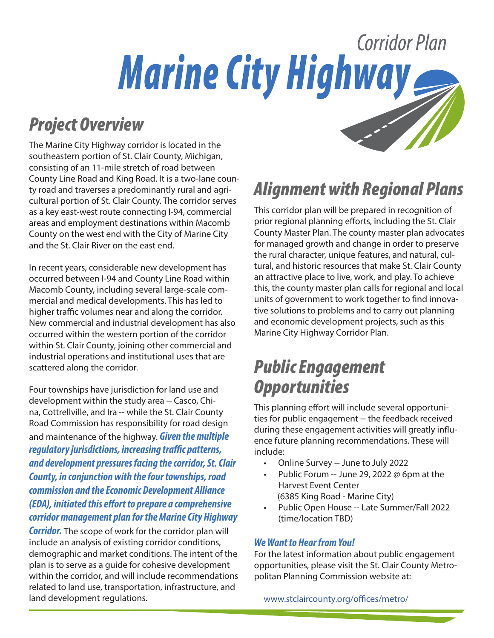# Corridor Plan **Marine City Highway**

#### *Project Overview*

The Marine City Highway corridor is located in the southeastern portion of St. Clair County, Michigan, consisting of an 11-mile stretch of road between County Line Road and King Road. It is a two-lane county road and traverses a predominantly rural and agricultural portion of St. Clair County. The corridor serves as a key east-west route connecting I-94, commercial areas and employment destinations within Macomb County on the west end with the City of Marine City and the St. Clair River on the east end.

In recent years, considerable new development has occurred between I-94 and County Line Road within Macomb County, including several large-scale commercial and medical developments. This has led to higher traffic volumes near and along the corridor. New commercial and industrial development has also occurred within the western portion of the corridor within St. Clair County, joining other commercial and industrial operations and institutional uses that are scattered along the corridor.

Four townships have jurisdiction for land use and development within the study area -- Casco, China, Cottrellville, and Ira -- while the St. Clair County Road Commission has responsibility for road design and maintenance of the highway. *Given the multiple regulatory jurisdictions, increasing traffic patterns, and development pressures facing the corridor, St. Clair County, in conjunction with the four townships, road commission and the Economic Development Alliance (EDA), initiated this effort to prepare a comprehensive corridor management plan for the Marine City Highway* 

*Corridor.* The scope of work for the corridor plan will include an analysis of existing corridor conditions, demographic and market conditions. The intent of the plan is to serve as a guide for cohesive development within the corridor, and will include recommendations related to land use, transportation, infrastructure, and land development regulations.

## *Alignment with Regional Plans*

This corridor plan will be prepared in recognition of prior regional planning efforts, including the St. Clair County Master Plan. The county master plan advocates for managed growth and change in order to preserve the rural character, unique features, and natural, cultural, and historic resources that make St. Clair County an attractive place to live, work, and play. To achieve this, the county master plan calls for regional and local units of government to work together to find innovative solutions to problems and to carry out planning and economic development projects, such as this Marine City Highway Corridor Plan.

#### *Public Engagement Opportunities*

This planning effort will include several opportunities for public engagement -- the feedback received during these engagement activities will greatly influence future planning recommendations. These will include:

- Online Survey -- June to July 2022
- Public Forum -- June 29, 2022 @ 6pm at the Harvest Event Center (6385 King Road - Marine City)
- Public Open House -- Late Summer/Fall 2022 (time/location TBD)

#### *We Want to Hear from You!*

For the latest information about public engagement opportunities, please visit the St. Clair County Metropolitan Planning Commission website at:

www.stclaircounty.org/offices/metro/